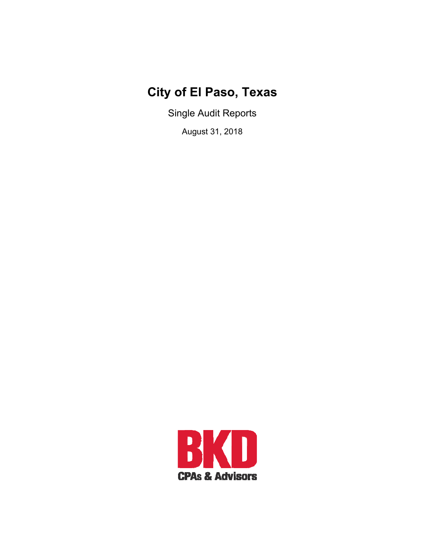# **City of El Paso, Texas**

Single Audit Reports

August 31, 2018

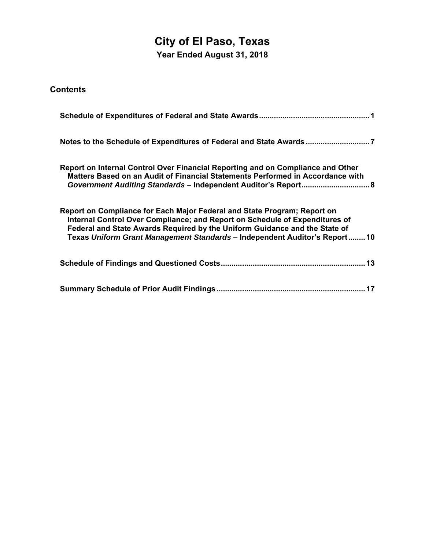# **City of El Paso, Texas Year Ended August 31, 2018**

**Contents** 

| Notes to the Schedule of Expenditures of Federal and State Awards 7                                                                                                                                                                                                                                                |
|--------------------------------------------------------------------------------------------------------------------------------------------------------------------------------------------------------------------------------------------------------------------------------------------------------------------|
| Report on Internal Control Over Financial Reporting and on Compliance and Other<br>Matters Based on an Audit of Financial Statements Performed in Accordance with<br>Government Auditing Standards - Independent Auditor's Report 8                                                                                |
| Report on Compliance for Each Major Federal and State Program; Report on<br>Internal Control Over Compliance; and Report on Schedule of Expenditures of<br>Federal and State Awards Required by the Uniform Guidance and the State of<br>Texas Uniform Grant Management Standards - Independent Auditor's Report10 |
|                                                                                                                                                                                                                                                                                                                    |
|                                                                                                                                                                                                                                                                                                                    |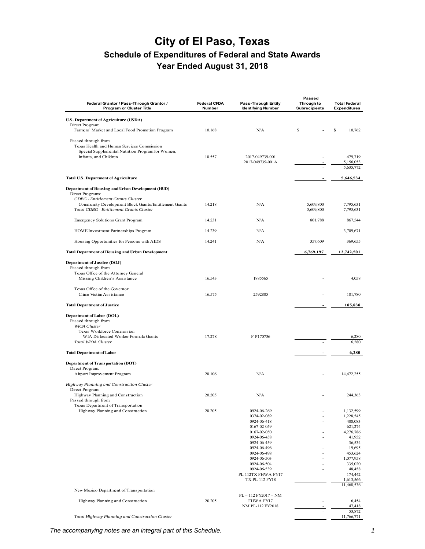|                                                                    |                     |                            | Passed               |                        |
|--------------------------------------------------------------------|---------------------|----------------------------|----------------------|------------------------|
| Federal Grantor / Pass-Through Grantor /                           | <b>Federal CFDA</b> | <b>Pass-Through Entity</b> | Through to           | <b>Total Federal</b>   |
| Program or Cluster Title                                           | Number              | <b>Identifying Number</b>  | <b>Subrecipients</b> | <b>Expenditures</b>    |
| U.S. Department of Agriculture (USDA)                              |                     |                            |                      |                        |
| Direct Program:                                                    |                     |                            |                      |                        |
| Farmers' Market and Local Food Promotion Program                   | 10.168              | N/A                        | \$                   | \$<br>10,762           |
|                                                                    |                     |                            |                      |                        |
| Passed through from:<br>Texas Health and Human Services Commission |                     |                            |                      |                        |
| Special Supplemental Nutrition Program for Women,                  |                     |                            |                      |                        |
| Infants, and Children                                              | 10.557              | 2017-049739-001            |                      | 479,719                |
|                                                                    |                     | 2017-049739-001A           |                      | 5,156,053              |
|                                                                    |                     |                            | ÷,                   | 5,635,772              |
|                                                                    |                     |                            |                      |                        |
| <b>Total U.S. Department of Agriculture</b>                        |                     |                            |                      | 5,646,534              |
| Department of Housing and Urban Development (HUD)                  |                     |                            |                      |                        |
| Direct Programs:                                                   |                     |                            |                      |                        |
| <b>CDBG</b> - Entitlement Grants Cluster                           |                     |                            |                      |                        |
| Community Development Block Grants/Entitlement Grants              | 14.218              | N/A                        | 5,609,800            | 7,795,631              |
| Total CDBG - Entitlement Grants Cluster                            |                     |                            | 5,609,800            | 7,795,631              |
|                                                                    | 14.231              | N/A                        | 801,788              | 867,544                |
| Emergency Solutions Grant Program                                  |                     |                            |                      |                        |
| HOME Investment Partnerships Program                               | 14.239              | N/A                        |                      | 3,709,671              |
|                                                                    |                     |                            |                      |                        |
| Housing Opportunities for Persons with AIDS                        | 14.241              | N/A                        | 357,609              | 369,655                |
|                                                                    |                     |                            |                      |                        |
| <b>Total Department of Housing and Urban Development</b>           |                     |                            | 6,769,197            | 12,742,501             |
| Department of Justice (DOJ)                                        |                     |                            |                      |                        |
| Passed through from:                                               |                     |                            |                      |                        |
| Texas Office of the Attorney General                               |                     |                            |                      |                        |
| Missing Children's Assistance                                      | 16.543              | 1885565                    |                      | 4,058                  |
|                                                                    |                     |                            |                      |                        |
| Texas Office of the Governor<br>Crime Victim Assistance            | 16.575              |                            |                      | 181,780                |
|                                                                    |                     | 2592805                    |                      |                        |
| <b>Total Department of Justice</b>                                 |                     |                            |                      | 185,838                |
|                                                                    |                     |                            |                      |                        |
| <b>Department of Labor (DOL)</b>                                   |                     |                            |                      |                        |
| Passed through from:                                               |                     |                            |                      |                        |
| <b>WIOA</b> Cluster                                                |                     |                            |                      |                        |
| Texas Workforce Commission                                         |                     |                            |                      |                        |
| WIA Dislocated Worker Formula Grants<br><b>Total WIOA Cluster</b>  | 17.278              | F-P170736                  |                      | 6,280<br>6,280         |
|                                                                    |                     |                            |                      |                        |
| <b>Total Department of Labor</b>                                   |                     |                            |                      | 6,280                  |
|                                                                    |                     |                            |                      |                        |
| <b>Department of Transportation (DOT)</b>                          |                     |                            |                      |                        |
| Direct Program:                                                    | 20.106              | N/A                        |                      |                        |
| Airport Improvement Program                                        |                     |                            |                      | 14,472,255             |
| Highway Planning and Construction Cluster                          |                     |                            |                      |                        |
| Direct Program:                                                    |                     |                            |                      |                        |
| Highway Planning and Construction                                  | 20.205              | N/A                        |                      | 244,363                |
| Passed through from:                                               |                     |                            |                      |                        |
| Texas Department of Transportation                                 |                     |                            |                      |                        |
| Highway Planning and Construction                                  | 20.205              | 0924-06-269<br>0374-02-089 |                      | 1,132,599<br>1,228,545 |
|                                                                    |                     | 0924-06-418                |                      | 408,083                |
|                                                                    |                     | 0167-02-059                |                      | 621,274                |
|                                                                    |                     | 0167-02-050                |                      | 4,276,786              |
|                                                                    |                     | 0924-06-458                |                      | 41,952                 |
|                                                                    |                     | 0924-06-459                |                      | 36,534                 |
|                                                                    |                     | 0924-06-496                |                      | 19,695                 |
|                                                                    |                     | 0924-06-498                |                      | 453,624                |
|                                                                    |                     | 0924-06-503                |                      | 1,077,958              |
|                                                                    |                     | 0924-06-504                |                      | 335,020                |
|                                                                    |                     | 0924-06-539                |                      | 48,458                 |
|                                                                    |                     | PL-112TX FHWA FY17         |                      | 174,442<br>1,613,566   |
|                                                                    |                     | TX PL-112 FY18             |                      | 11,468,536             |
| New Mexico Department of Transportation                            |                     |                            |                      |                        |
|                                                                    |                     | PL-112 FY2017 - NM         |                      |                        |
| Highway Planning and Construction                                  | 20.205              | FHWA FY17                  |                      | 6,454                  |
|                                                                    |                     | NM PL-112 FY2018           |                      | 47,418                 |
|                                                                    |                     |                            |                      | 53,872                 |
| Total Highway Planning and Construction Cluster                    |                     |                            |                      | 11,766,771             |

*The accompanying notes are an integral part of this Schedule. 1*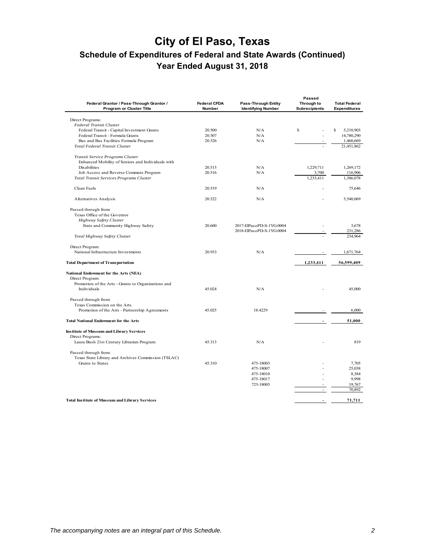| Federal Grantor / Pass-Through Grantor /<br><b>Program or Cluster Title</b> | <b>Federal CFDA</b><br>Number | <b>Pass-Through Entity</b><br><b>Identifying Number</b> | Passed<br>Through to<br><b>Subrecipients</b> | <b>Total Federal</b><br><b>Expenditures</b> |
|-----------------------------------------------------------------------------|-------------------------------|---------------------------------------------------------|----------------------------------------------|---------------------------------------------|
| Direct Programs:                                                            |                               |                                                         |                                              |                                             |
| <b>Federal Transit Cluster</b>                                              |                               |                                                         |                                              |                                             |
| Federal Transit - Capital Investment Grants                                 | 20.500                        | N/A                                                     | \$                                           | S<br>5.210.903                              |
| Federal Transit - Formula Grants                                            | 20.507                        | N/A                                                     |                                              | 14,780,290                                  |
| Bus and Bus Facilities Formula Program                                      | 20.526                        | N/A                                                     | $\overline{a}$                               | 1,460,669                                   |
| Total Federal Transit Cluster                                               |                               |                                                         |                                              | 21,451,862                                  |
| Transit Service Programs Cluster                                            |                               |                                                         |                                              |                                             |
| Enhanced Mobility of Seniors and Individuals with                           |                               |                                                         |                                              |                                             |
| Disabilities                                                                | 20.513                        | N/A                                                     | 1,229,711                                    | 1,269,172                                   |
| Job Access and Reverse Commute Program                                      | 20.516                        | N/A                                                     | 3,700                                        | 116,906                                     |
| <b>Total Transit Services Programs Cluster</b>                              |                               |                                                         | 1,233,411                                    | 1,386,078                                   |
| Clean Fuels                                                                 | 20.519                        | N/A                                                     |                                              | 75,646                                      |
| Alternatives Analysis                                                       | 20.522                        | N/A                                                     |                                              | 5,540,069                                   |
| Passed through from:                                                        |                               |                                                         |                                              |                                             |
| Texas Office of the Governor                                                |                               |                                                         |                                              |                                             |
| Highway Safety Cluster                                                      |                               |                                                         |                                              |                                             |
| State and Community Highway Safety                                          | 20.600                        | 2017-ElPas oPD-S-1YG-0004                               |                                              | 3,678                                       |
|                                                                             |                               | 2018-ElPas oPD-S-1YG-0004                               |                                              | 231,286                                     |
| Total Highway Safety Cluster                                                |                               |                                                         |                                              | 234,964                                     |
| Direct Program:                                                             |                               |                                                         |                                              |                                             |
| National Infrastructure Investments                                         | 20.933                        | N/A                                                     |                                              | 1,671,764                                   |
| <b>Total Department of Transportation</b>                                   |                               |                                                         | 1,233,411                                    | 56,599,409                                  |
| National Endowment for the Arts (NEA)                                       |                               |                                                         |                                              |                                             |
| Direct Program:                                                             |                               |                                                         |                                              |                                             |
| Promotion of the Arts - Grants to Organizations and                         |                               |                                                         |                                              |                                             |
| Individuals                                                                 | 45.024                        | N/A                                                     |                                              | 45,000                                      |
| Passed through from:                                                        |                               |                                                         |                                              |                                             |
| Texas Commission on the Arts                                                |                               |                                                         |                                              |                                             |
| Promotion of the Arts - Partnership Agreements                              | 45.025                        | 18.4229                                                 |                                              | 6,000                                       |
| <b>Total National Endowment for the Arts</b>                                |                               |                                                         |                                              | 51.000                                      |
| <b>Institute of Museum and Library Services</b>                             |                               |                                                         |                                              |                                             |
| Direct Programs:                                                            |                               |                                                         |                                              |                                             |
| Laura Bush 21st Century Librarian Program                                   | 45.313                        | N/A                                                     |                                              | 819                                         |
| Passed through from:                                                        |                               |                                                         |                                              |                                             |
| Texas State Library and Archives Commission (TSLAC)                         |                               |                                                         |                                              |                                             |
| Grants to States                                                            | 45.310                        | 475-18003                                               |                                              | 7,705                                       |
|                                                                             |                               | 475-18007                                               |                                              | 25,038                                      |
|                                                                             |                               | 475-18010                                               |                                              | 8,384                                       |
|                                                                             |                               | 475-18017                                               |                                              | 9,998                                       |
|                                                                             |                               | 723-18005                                               |                                              | 19,767                                      |
|                                                                             |                               |                                                         |                                              | 70,892                                      |
| <b>Total Institute of Museum and Library Services</b>                       |                               |                                                         |                                              | 71,711                                      |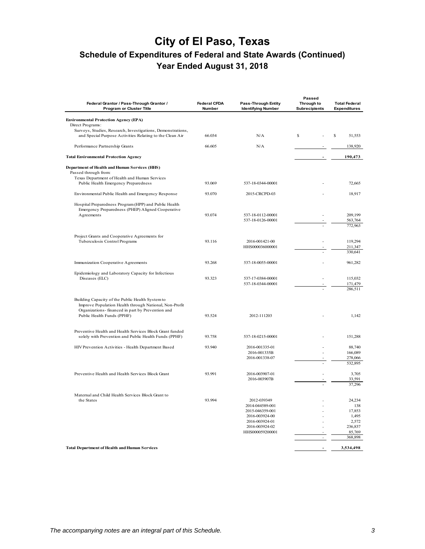| Federal Grantor / Pass-Through Grantor /<br>Program or Cluster Title                                              | <b>Federal CFDA</b><br><b>Number</b> | <b>Pass-Through Entity</b><br><b>Identifying Number</b> | Passed<br>Through to<br><b>Subrecipients</b> | <b>Total Federal</b><br><b>Expenditures</b> |
|-------------------------------------------------------------------------------------------------------------------|--------------------------------------|---------------------------------------------------------|----------------------------------------------|---------------------------------------------|
| <b>Environmental Protection Agency (EPA)</b>                                                                      |                                      |                                                         |                                              |                                             |
| Direct Programs:                                                                                                  |                                      |                                                         |                                              |                                             |
| Surveys, Studies, Research, Investigations, Demonstrations,                                                       |                                      |                                                         |                                              |                                             |
| and Special Purpose Activities Relating to the Clean Air                                                          | 66.034                               | N/A                                                     | S                                            | <sup>\$</sup><br>51,553                     |
| Performance Partnership Grants                                                                                    | 66.605                               | N/A                                                     |                                              | 138,920                                     |
| <b>Total Environmental Protection Agency</b>                                                                      |                                      |                                                         |                                              | 190,473                                     |
| <b>Department of Health and Human Services (HHS)</b><br>Passed through from:                                      |                                      |                                                         |                                              |                                             |
| Texas Department of Health and Human Services<br>Public Health Emergency Preparedness                             | 93.069                               | 537-18-0344-00001                                       |                                              | 72,665                                      |
| Environmental Public Health and Emergency Response                                                                | 93.070                               | 2015-CRCPD-03                                           |                                              | 18,917                                      |
| Hospital Preparedness Program (HPP) and Public Health<br>Emergency Preparedness (PHEP) Aligned Cooperative        |                                      |                                                         |                                              |                                             |
| Agreements                                                                                                        | 93.074                               | 537-18-0112-00001                                       |                                              | 209,199                                     |
|                                                                                                                   |                                      | 537-18-0126-00001                                       |                                              | 563,764<br>772,963                          |
|                                                                                                                   |                                      |                                                         |                                              |                                             |
| Project Grants and Cooperative Agreements for                                                                     |                                      |                                                         |                                              |                                             |
| Tuberculosis Control Programs                                                                                     | 93.116                               | 2016-001421-00                                          |                                              | 119,294                                     |
|                                                                                                                   |                                      | HHS000036000001                                         |                                              | 211,347<br>330,641                          |
|                                                                                                                   |                                      |                                                         |                                              |                                             |
| Immunization Cooperative Agreements                                                                               | 93.268                               | 537-18-0055-00001                                       |                                              | 961,282                                     |
| Epidemiology and Laboratory Capacity for Infectious                                                               |                                      |                                                         |                                              |                                             |
| Diseases (ELC)                                                                                                    | 93.323                               | 537-17-0384-00001                                       |                                              | 115,032                                     |
|                                                                                                                   |                                      | 537-18-0344-00001                                       |                                              | 171,479<br>286,511                          |
|                                                                                                                   |                                      |                                                         |                                              |                                             |
| Building Capacity of the Public Health System to<br>Improve Population Health through National, Non-Profit        |                                      |                                                         |                                              |                                             |
| Organizations-financed in part by Prevention and                                                                  |                                      |                                                         |                                              |                                             |
| Public Health Funds (PPHF)                                                                                        | 93.524                               | 2012-111203                                             |                                              | 1,142                                       |
|                                                                                                                   |                                      |                                                         |                                              |                                             |
| Preventive Health and Health Services Block Grant funded<br>solely with Prevention and Public Health Funds (PPHF) | 93.758                               | 537-18-0215-00001                                       |                                              | 151,288                                     |
| HIV Prevention Activities - Health Department Based                                                               | 93.940                               | 2016-001335-01                                          |                                              | 88,740                                      |
|                                                                                                                   |                                      | 2016-001335B                                            |                                              | 166,089                                     |
|                                                                                                                   |                                      | 2016-001338-07                                          |                                              | 278,066                                     |
|                                                                                                                   |                                      |                                                         |                                              | 532,895                                     |
| Preventive Health and Health Services Block Grant                                                                 | 93.991                               | 2016-003907-01                                          |                                              | 3,705                                       |
|                                                                                                                   |                                      | 2016-003907B                                            |                                              | 33,591                                      |
|                                                                                                                   |                                      |                                                         |                                              | 37,296                                      |
| Maternal and Child Health Services Block Grant to                                                                 |                                      |                                                         |                                              |                                             |
| the States                                                                                                        | 93.994                               | 2012-039349                                             |                                              | 24,234                                      |
|                                                                                                                   |                                      | 2014-044589-001                                         |                                              | 138                                         |
|                                                                                                                   |                                      | 2015-046359-001                                         |                                              | 17,853                                      |
|                                                                                                                   |                                      | 2016-003924-00<br>2016-003924-01                        |                                              | 1,495<br>2,572                              |
|                                                                                                                   |                                      | 2016-003924-02                                          |                                              | 236,837                                     |
|                                                                                                                   |                                      | HHS000059200001                                         |                                              | 85,769                                      |
|                                                                                                                   |                                      |                                                         |                                              | 368,898                                     |
| <b>Total Department of Health and Human Services</b>                                                              |                                      |                                                         |                                              | 3.534.498                                   |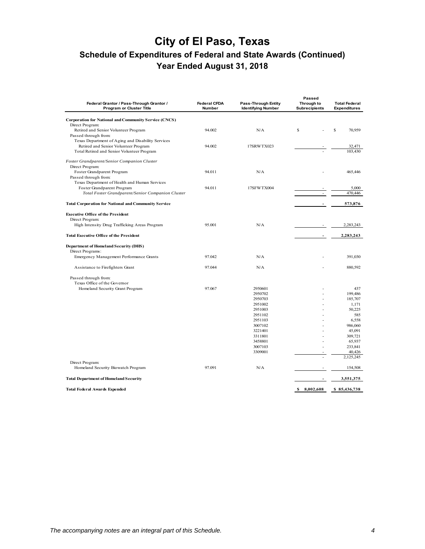| Federal Grantor / Pass-Through Grantor /<br><b>Program or Cluster Title</b> | <b>Federal CFDA</b><br>Number | <b>Pass-Through Entity</b><br><b>Identifying Number</b> | Passed<br>Through to<br><b>Subrecipients</b> | <b>Total Federal</b><br><b>Expenditures</b> |
|-----------------------------------------------------------------------------|-------------------------------|---------------------------------------------------------|----------------------------------------------|---------------------------------------------|
| <b>Corporation for National and Community Service (CNCS)</b>                |                               |                                                         |                                              |                                             |
| Direct Program:                                                             |                               |                                                         |                                              |                                             |
| Retired and Senior Volunteer Program                                        | 94.002                        | N/A                                                     | \$                                           | \$<br>70,959                                |
| Passed through from:                                                        |                               |                                                         |                                              |                                             |
| Texas Department of Aging and Disability Services                           |                               |                                                         |                                              |                                             |
| Retired and Senior Volunteer Program                                        | 94.002                        | 17SRWTX023                                              |                                              | 32,471                                      |
| Total Retired and Senior Volunteer Program                                  |                               |                                                         |                                              | 103,430                                     |
| Foster Grandparent/Senior Companion Cluster                                 |                               |                                                         |                                              |                                             |
| Direct Program:                                                             |                               |                                                         |                                              |                                             |
| Foster Grandparent Program                                                  | 94.011                        | N/A                                                     |                                              | 465,446                                     |
| Passed through from:                                                        |                               |                                                         |                                              |                                             |
| Texas Department of Health and Human Services                               |                               |                                                         |                                              |                                             |
| Foster Grandparent Program                                                  | 94.011                        | 17SFWTX004                                              |                                              | 5,000                                       |
| Total Foster Grandparent/Senior Companion Cluster                           |                               |                                                         | $\overline{\phantom{a}}$                     | 470,446                                     |
| <b>Total Corporation for National and Community Service</b>                 |                               |                                                         |                                              | 573,876                                     |
| <b>Executive Office of the President</b>                                    |                               |                                                         |                                              |                                             |
| Direct Program:                                                             |                               |                                                         |                                              |                                             |
| High Intensity Drug Trafficking Areas Program                               | 95.001                        | N/A                                                     |                                              | 2,283,243                                   |
| <b>Total Executive Office of the President</b>                              |                               |                                                         |                                              | 2,283,243                                   |
| <b>Department of Homeland Security (DHS)</b>                                |                               |                                                         |                                              |                                             |
| Direct Programs:                                                            |                               |                                                         |                                              |                                             |
| Emergency Management Performance Grants                                     | 97.042                        | N/A                                                     |                                              | 391,030                                     |
| Assistance to Firefighters Grant                                            | 97.044                        | N/A                                                     |                                              | 880,592                                     |
|                                                                             |                               |                                                         |                                              |                                             |
| Passed through from:                                                        |                               |                                                         |                                              |                                             |
| Texas Office of the Governor                                                | 97.067                        | 2950601                                                 |                                              | 437                                         |
| Homeland Security Grant Program                                             |                               | 2950702                                                 |                                              | 199,486                                     |
|                                                                             |                               | 2950703                                                 | ÷                                            | 185,707                                     |
|                                                                             |                               | 2951002                                                 |                                              | 1,171                                       |
|                                                                             |                               | 2951003                                                 |                                              | 50,225                                      |
|                                                                             |                               | 2951102                                                 |                                              | 585                                         |
|                                                                             |                               | 2951103                                                 |                                              | 6,558                                       |
|                                                                             |                               | 3007102                                                 |                                              | 986,060                                     |
|                                                                             |                               | 3221401                                                 |                                              | 45,091                                      |
|                                                                             |                               | 3311801                                                 | L.                                           | 309,721                                     |
|                                                                             |                               | 3458801                                                 |                                              | 65,937                                      |
|                                                                             |                               | 3007103                                                 |                                              | 233,841                                     |
|                                                                             |                               | 3309001                                                 |                                              | 40,426                                      |
|                                                                             |                               |                                                         |                                              | 2,125,245                                   |
| Direct Program:<br>Homeland Security Biowatch Program                       | 97.091                        | N/A                                                     |                                              | 154,508                                     |
| <b>Total Department of Homeland Security</b>                                |                               |                                                         |                                              | 3,551,375                                   |
|                                                                             |                               |                                                         |                                              |                                             |
| <b>Total Federal Awards Expended</b>                                        |                               |                                                         | \$8,002,608                                  | \$85,436,738                                |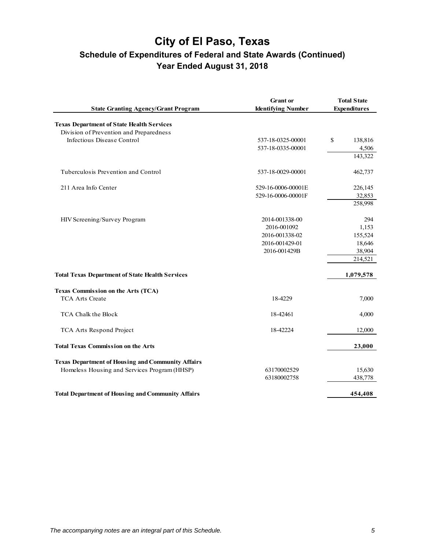| <b>State Granting Agency/Grant Program</b>               | <b>Grant</b> or<br><b>Identifying Number</b> | <b>Total State</b><br><b>Expenditures</b> |
|----------------------------------------------------------|----------------------------------------------|-------------------------------------------|
| <b>Texas Department of State Health Services</b>         |                                              |                                           |
| Division of Prevention and Preparedness                  |                                              |                                           |
| Infectious Disease Control                               | 537-18-0325-00001                            | \$<br>138,816                             |
|                                                          | 537-18-0335-00001                            | 4,506                                     |
|                                                          |                                              | 143,322                                   |
| Tuberculosis Prevention and Control                      | 537-18-0029-00001                            | 462,737                                   |
| 211 Area Info Center                                     | 529-16-0006-00001E                           | 226,145                                   |
|                                                          | 529-16-0006-00001F                           | 32,853                                    |
|                                                          |                                              | 258,998                                   |
| HIV Screening/Survey Program                             | 2014-001338-00                               | 294                                       |
|                                                          | 2016-001092                                  | 1,153                                     |
|                                                          | 2016-001338-02                               | 155,524                                   |
|                                                          | 2016-001429-01                               | 18,646                                    |
|                                                          | 2016-001429B                                 | 38,904                                    |
|                                                          |                                              | 214,521                                   |
| <b>Total Texas Department of State Health Services</b>   |                                              | 1,079,578                                 |
| <b>Texas Commission on the Arts (TCA)</b>                |                                              |                                           |
| <b>TCA Arts Create</b>                                   | 18-4229                                      | 7,000                                     |
| TCA Chalk the Block                                      | 18-42461                                     | 4,000                                     |
| TCA Arts Respond Project                                 | 18-42224                                     | 12,000                                    |
| <b>Total Texas Commission on the Arts</b>                |                                              | 23,000                                    |
| <b>Texas Department of Housing and Community Affairs</b> |                                              |                                           |
| Homeless Housing and Services Program (HHSP)             | 63170002529                                  | 15,630                                    |
|                                                          | 63180002758                                  | 438,778                                   |
| <b>Total Department of Housing and Community Affairs</b> |                                              | 454,408                                   |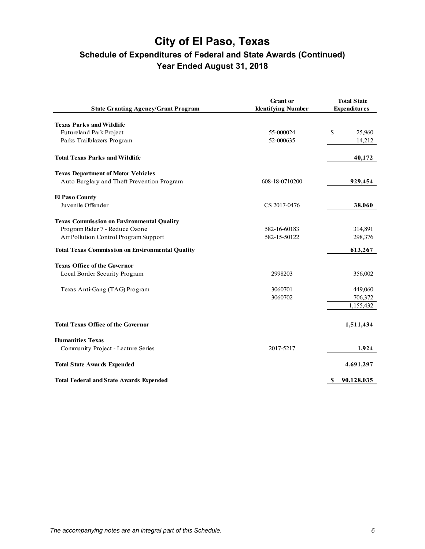| <b>State Granting Agency/Grant Program</b>             | <b>Grant</b> or<br><b>Identifying Number</b> | <b>Total State</b><br><b>Expenditures</b> |
|--------------------------------------------------------|----------------------------------------------|-------------------------------------------|
|                                                        |                                              |                                           |
| <b>Texas Parks and Wildlife</b>                        |                                              |                                           |
| Futureland Park Project                                | 55-000024                                    | \$<br>25,960                              |
| Parks Trailblazers Program                             | 52-000635                                    | 14,212                                    |
| <b>Total Texas Parks and Wildlife</b>                  |                                              | 40,172                                    |
| <b>Texas Department of Motor Vehicles</b>              |                                              |                                           |
| Auto Burglary and Theft Prevention Program             | 608-18-0710200                               | 929,454                                   |
| <b>El Paso County</b>                                  |                                              |                                           |
| Juvenile Offender                                      | CS 2017-0476                                 | 38,060                                    |
| <b>Texas Commission on Environmental Quality</b>       |                                              |                                           |
| Program Rider 7 - Reduce Ozone                         | 582-16-60183                                 | 314,891                                   |
| Air Pollution Control Program Support                  | 582-15-50122                                 | 298,376                                   |
| <b>Total Texas Commission on Environmental Quality</b> |                                              | 613,267                                   |
| <b>Texas Office of the Governor</b>                    |                                              |                                           |
| Local Border Security Program                          | 2998203                                      | 356,002                                   |
| Texas Anti-Gang (TAG) Program                          | 3060701                                      | 449,060                                   |
|                                                        | 3060702                                      | 706,372                                   |
|                                                        |                                              | 1,155,432                                 |
| <b>Total Texas Office of the Governor</b>              |                                              | 1,511,434                                 |
|                                                        |                                              |                                           |
| <b>Humanities Texas</b>                                |                                              |                                           |
| Community Project - Lecture Series                     | 2017-5217                                    | 1,924                                     |
| <b>Total State Awards Expended</b>                     |                                              | 4,691,297                                 |
| <b>Total Federal and State Awards Expended</b>         |                                              | 90,128,035<br>S                           |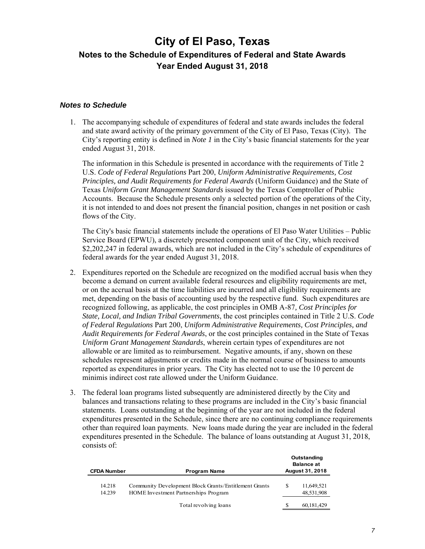# **City of El Paso, Texas Notes to the Schedule of Expenditures of Federal and State Awards Year Ended August 31, 2018**

### *Notes to Schedule*

1. The accompanying schedule of expenditures of federal and state awards includes the federal and state award activity of the primary government of the City of El Paso, Texas (City). The City's reporting entity is defined in *Note 1* in the City's basic financial statements for the year ended August 31, 2018.

The information in this Schedule is presented in accordance with the requirements of Title 2 U.S. *Code of Federal Regulations* Part 200, *Uniform Administrative Requirements, Cost Principles, and Audit Requirements for Federal Awards* (Uniform Guidance) and the State of Texas *Uniform Grant Management Standards* issued by the Texas Comptroller of Public Accounts. Because the Schedule presents only a selected portion of the operations of the City, it is not intended to and does not present the financial position, changes in net position or cash flows of the City.

The City's basic financial statements include the operations of El Paso Water Utilities – Public Service Board (EPWU), a discretely presented component unit of the City, which received \$2,202,247 in federal awards, which are not included in the City's schedule of expenditures of federal awards for the year ended August 31, 2018.

- 2. Expenditures reported on the Schedule are recognized on the modified accrual basis when they become a demand on current available federal resources and eligibility requirements are met, or on the accrual basis at the time liabilities are incurred and all eligibility requirements are met, depending on the basis of accounting used by the respective fund. Such expenditures are recognized following, as applicable, the cost principles in OMB A-87*, Cost Principles for State, Local, and Indian Tribal Governments*, the cost principles contained in Title 2 U.S. *Code of Federal Regulations* Part 200, *Uniform Administrative Requirements, Cost Principles, and Audit Requirements for Federal Awards*, or the cost principles contained in the State of Texas *Uniform Grant Management Standards*, wherein certain types of expenditures are not allowable or are limited as to reimbursement. Negative amounts, if any, shown on these schedules represent adjustments or credits made in the normal course of business to amounts reported as expenditures in prior years. The City has elected not to use the 10 percent de minimis indirect cost rate allowed under the Uniform Guidance.
- 3. The federal loan programs listed subsequently are administered directly by the City and balances and transactions relating to these programs are included in the City's basic financial statements. Loans outstanding at the beginning of the year are not included in the federal expenditures presented in the Schedule, since there are no continuing compliance requirements other than required loan payments. New loans made during the year are included in the federal expenditures presented in the Schedule. The balance of loans outstanding at August 31, 2018, consists of:

| <b>CFDA Number</b> | <b>Program Name</b>                                                                           |   | Outstanding<br><b>Balance at</b><br><b>August 31, 2018</b> |
|--------------------|-----------------------------------------------------------------------------------------------|---|------------------------------------------------------------|
| 14.218<br>14.239   | Community Development Block Grants/Entitlement Grants<br>HOME Investment Partnerships Program | S | 11,649,521<br>48,531,908                                   |
|                    | Total revolving loans                                                                         |   | 60,181,429                                                 |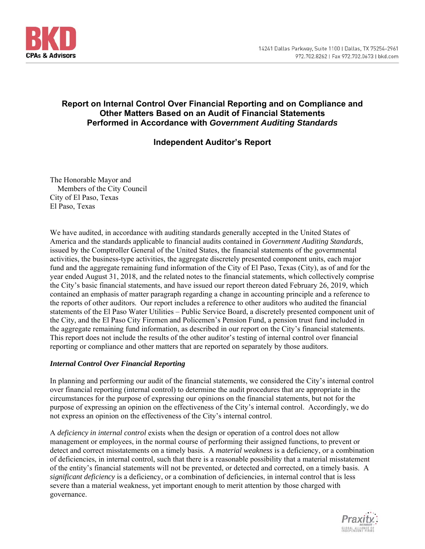

### **Report on Internal Control Over Financial Reporting and on Compliance and Other Matters Based on an Audit of Financial Statements Performed in Accordance with** *Government Auditing Standards*

### **Independent Auditor's Report**

The Honorable Mayor and Members of the City Council City of El Paso, Texas El Paso, Texas

We have audited, in accordance with auditing standards generally accepted in the United States of America and the standards applicable to financial audits contained in *Government Auditing Standards*, issued by the Comptroller General of the United States, the financial statements of the governmental activities, the business-type activities, the aggregate discretely presented component units, each major fund and the aggregate remaining fund information of the City of El Paso, Texas (City), as of and for the year ended August 31, 2018, and the related notes to the financial statements, which collectively comprise the City's basic financial statements, and have issued our report thereon dated February 26, 2019, which contained an emphasis of matter paragraph regarding a change in accounting principle and a reference to the reports of other auditors. Our report includes a reference to other auditors who audited the financial statements of the El Paso Water Utilities – Public Service Board, a discretely presented component unit of the City, and the El Paso City Firemen and Policemen's Pension Fund, a pension trust fund included in the aggregate remaining fund information, as described in our report on the City's financial statements. This report does not include the results of the other auditor's testing of internal control over financial reporting or compliance and other matters that are reported on separately by those auditors.

### *Internal Control Over Financial Reporting*

In planning and performing our audit of the financial statements, we considered the City's internal control over financial reporting (internal control) to determine the audit procedures that are appropriate in the circumstances for the purpose of expressing our opinions on the financial statements, but not for the purpose of expressing an opinion on the effectiveness of the City's internal control. Accordingly, we do not express an opinion on the effectiveness of the City's internal control.

A *deficiency in internal control* exists when the design or operation of a control does not allow management or employees, in the normal course of performing their assigned functions, to prevent or detect and correct misstatements on a timely basis. A *material weakness* is a deficiency, or a combination of deficiencies, in internal control, such that there is a reasonable possibility that a material misstatement of the entity's financial statements will not be prevented, or detected and corrected, on a timely basis. A *significant deficiency* is a deficiency, or a combination of deficiencies, in internal control that is less severe than a material weakness, yet important enough to merit attention by those charged with governance.

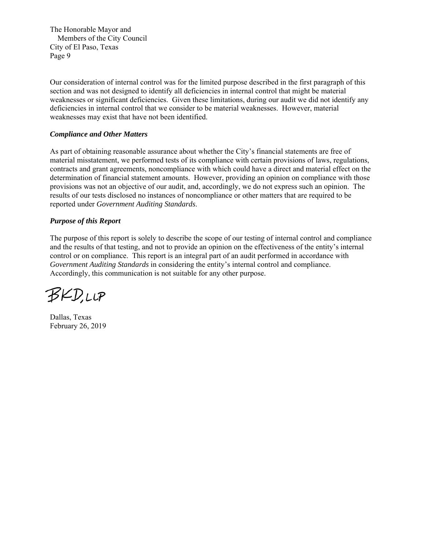The Honorable Mayor and Members of the City Council City of El Paso, Texas Page 9

Our consideration of internal control was for the limited purpose described in the first paragraph of this section and was not designed to identify all deficiencies in internal control that might be material weaknesses or significant deficiencies. Given these limitations, during our audit we did not identify any deficiencies in internal control that we consider to be material weaknesses. However, material weaknesses may exist that have not been identified.

### *Compliance and Other Matters*

As part of obtaining reasonable assurance about whether the City's financial statements are free of material misstatement, we performed tests of its compliance with certain provisions of laws, regulations, contracts and grant agreements, noncompliance with which could have a direct and material effect on the determination of financial statement amounts. However, providing an opinion on compliance with those provisions was not an objective of our audit, and, accordingly, we do not express such an opinion. The results of our tests disclosed no instances of noncompliance or other matters that are required to be reported under *Government Auditing Standards*.

#### *Purpose of this Report*

The purpose of this report is solely to describe the scope of our testing of internal control and compliance and the results of that testing, and not to provide an opinion on the effectiveness of the entity's internal control or on compliance. This report is an integral part of an audit performed in accordance with *Government Auditing Standards* in considering the entity's internal control and compliance. Accordingly, this communication is not suitable for any other purpose.

**BKD,LLP** 

Dallas, Texas February 26, 2019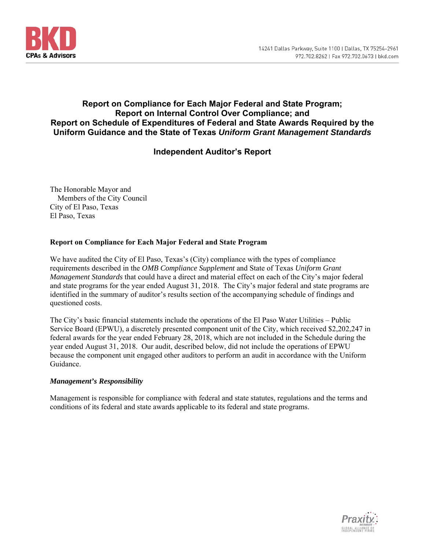

### **Report on Compliance for Each Major Federal and State Program; Report on Internal Control Over Compliance; and Report on Schedule of Expenditures of Federal and State Awards Required by the Uniform Guidance and the State of Texas** *Uniform Grant Management Standards*

### **Independent Auditor's Report**

The Honorable Mayor and Members of the City Council City of El Paso, Texas El Paso, Texas

### **Report on Compliance for Each Major Federal and State Program**

We have audited the City of El Paso, Texas's (City) compliance with the types of compliance requirements described in the *OMB Compliance Supplement* and State of Texas *Uniform Grant Management Standards* that could have a direct and material effect on each of the City's major federal and state programs for the year ended August 31, 2018. The City's major federal and state programs are identified in the summary of auditor's results section of the accompanying schedule of findings and questioned costs.

The City's basic financial statements include the operations of the El Paso Water Utilities – Public Service Board (EPWU), a discretely presented component unit of the City, which received \$2,202,247 in federal awards for the year ended February 28, 2018, which are not included in the Schedule during the year ended August 31, 2018. Our audit, described below, did not include the operations of EPWU because the component unit engaged other auditors to perform an audit in accordance with the Uniform Guidance.

### *Management's Responsibility*

Management is responsible for compliance with federal and state statutes, regulations and the terms and conditions of its federal and state awards applicable to its federal and state programs.

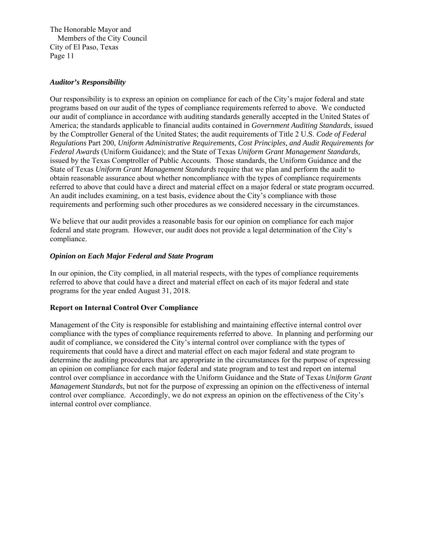The Honorable Mayor and Members of the City Council City of El Paso, Texas Page 11

### *Auditor's Responsibility*

Our responsibility is to express an opinion on compliance for each of the City's major federal and state programs based on our audit of the types of compliance requirements referred to above. We conducted our audit of compliance in accordance with auditing standards generally accepted in the United States of America; the standards applicable to financial audits contained in *Government Auditing Standards*, issued by the Comptroller General of the United States; the audit requirements of Title 2 U.S. *Code of Federal Regulations* Part 200, *Uniform Administrative Requirements, Cost Principles, and Audit Requirements for Federal Awards* (Uniform Guidance); and the State of Texas *Uniform Grant Management Standards,* issued by the Texas Comptroller of Public Accounts. Those standards, the Uniform Guidance and the State of Texas *Uniform Grant Management Standards* require that we plan and perform the audit to obtain reasonable assurance about whether noncompliance with the types of compliance requirements referred to above that could have a direct and material effect on a major federal or state program occurred. An audit includes examining, on a test basis, evidence about the City's compliance with those requirements and performing such other procedures as we considered necessary in the circumstances.

We believe that our audit provides a reasonable basis for our opinion on compliance for each major federal and state program. However, our audit does not provide a legal determination of the City's compliance.

### *Opinion on Each Major Federal and State Program*

In our opinion, the City complied, in all material respects, with the types of compliance requirements referred to above that could have a direct and material effect on each of its major federal and state programs for the year ended August 31, 2018.

### **Report on Internal Control Over Compliance**

Management of the City is responsible for establishing and maintaining effective internal control over compliance with the types of compliance requirements referred to above. In planning and performing our audit of compliance, we considered the City's internal control over compliance with the types of requirements that could have a direct and material effect on each major federal and state program to determine the auditing procedures that are appropriate in the circumstances for the purpose of expressing an opinion on compliance for each major federal and state program and to test and report on internal control over compliance in accordance with the Uniform Guidance and the State of Texas *Uniform Grant Management Standards*, but not for the purpose of expressing an opinion on the effectiveness of internal control over compliance. Accordingly, we do not express an opinion on the effectiveness of the City's internal control over compliance.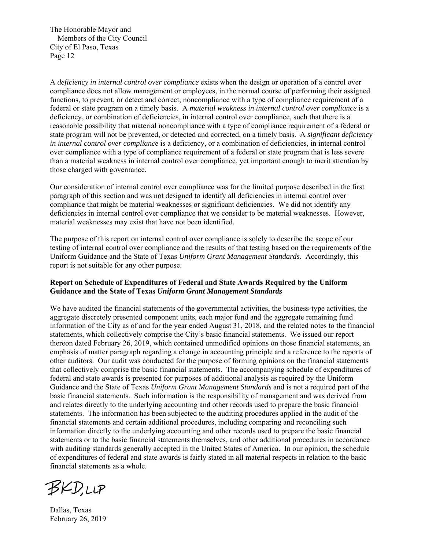The Honorable Mayor and Members of the City Council City of El Paso, Texas Page 12

A *deficiency in internal control over compliance* exists when the design or operation of a control over compliance does not allow management or employees, in the normal course of performing their assigned functions, to prevent, or detect and correct, noncompliance with a type of compliance requirement of a federal or state program on a timely basis. A *material weakness in internal control over compliance* is a deficiency, or combination of deficiencies, in internal control over compliance, such that there is a reasonable possibility that material noncompliance with a type of compliance requirement of a federal or state program will not be prevented, or detected and corrected, on a timely basis. A *significant deficiency in internal control over compliance* is a deficiency, or a combination of deficiencies, in internal control over compliance with a type of compliance requirement of a federal or state program that is less severe than a material weakness in internal control over compliance, yet important enough to merit attention by those charged with governance.

Our consideration of internal control over compliance was for the limited purpose described in the first paragraph of this section and was not designed to identify all deficiencies in internal control over compliance that might be material weaknesses or significant deficiencies. We did not identify any deficiencies in internal control over compliance that we consider to be material weaknesses. However, material weaknesses may exist that have not been identified.

The purpose of this report on internal control over compliance is solely to describe the scope of our testing of internal control over compliance and the results of that testing based on the requirements of the Uniform Guidance and the State of Texas *Uniform Grant Management Standards*. Accordingly, this report is not suitable for any other purpose.

### **Report on Schedule of Expenditures of Federal and State Awards Required by the Uniform Guidance and the State of Texas** *Uniform Grant Management Standards*

We have audited the financial statements of the governmental activities, the business-type activities, the aggregate discretely presented component units, each major fund and the aggregate remaining fund information of the City as of and for the year ended August 31, 2018, and the related notes to the financial statements, which collectively comprise the City's basic financial statements. We issued our report thereon dated February 26, 2019, which contained unmodified opinions on those financial statements, an emphasis of matter paragraph regarding a change in accounting principle and a reference to the reports of other auditors. Our audit was conducted for the purpose of forming opinions on the financial statements that collectively comprise the basic financial statements. The accompanying schedule of expenditures of federal and state awards is presented for purposes of additional analysis as required by the Uniform Guidance and the State of Texas *Uniform Grant Management Standards* and is not a required part of the basic financial statements. Such information is the responsibility of management and was derived from and relates directly to the underlying accounting and other records used to prepare the basic financial statements. The information has been subjected to the auditing procedures applied in the audit of the financial statements and certain additional procedures, including comparing and reconciling such information directly to the underlying accounting and other records used to prepare the basic financial statements or to the basic financial statements themselves, and other additional procedures in accordance with auditing standards generally accepted in the United States of America. In our opinion, the schedule of expenditures of federal and state awards is fairly stated in all material respects in relation to the basic financial statements as a whole.

BKD.LLP

Dallas, Texas February 26, 2019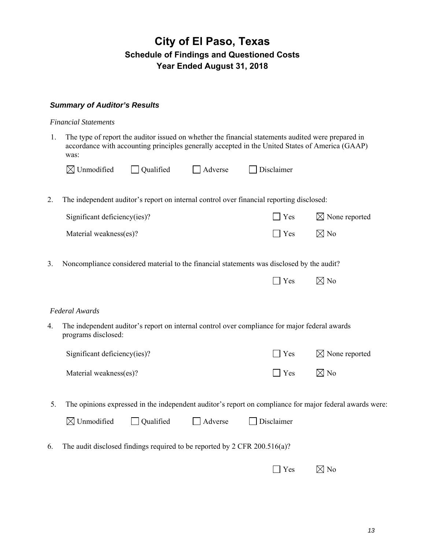# **City of El Paso, Texas Schedule of Findings and Questioned Costs Year Ended August 31, 2018**

### *Summary of Auditor's Results*

### *Financial Statements*

1. The type of report the auditor issued on whether the financial statements audited were prepared in accordance with accounting principles generally accepted in the United States of America (GAAP) was:

| $\boxtimes$ Unmodified | $\exists$ Oualified | Adverse | $\Box$ Disclaimer |  |
|------------------------|---------------------|---------|-------------------|--|
|                        |                     |         |                   |  |

2. The independent auditor's report on internal control over financial reporting disclosed:

| Significant deficiency(ies)? | $\Box$ Yes | $\boxtimes$ None reported |
|------------------------------|------------|---------------------------|
| Material weakness(es)?       | $\Box$ Yes | $\boxtimes$ No            |

3. Noncompliance considered material to the financial statements was disclosed by the audit?

| es | M i |
|----|-----|
|    | N٥  |

### *Federal Awards*

4. The independent auditor's report on internal control over compliance for major federal awards programs disclosed:

| Significant deficiency(ies)? | $ $ $ $ $Yes$        | $\boxtimes$ None reported |
|------------------------------|----------------------|---------------------------|
| Material weakness(es)?       | $\Box$ Yes $\Box$ No |                           |

5. The opinions expressed in the independent auditor's report on compliance for major federal awards were:

| $\boxtimes$ Unmodified<br>$\Box$ Disclaimer<br>$\Box$ Adverse<br>$\Box$ Qualified |  |
|-----------------------------------------------------------------------------------|--|
|-----------------------------------------------------------------------------------|--|

6. The audit disclosed findings required to be reported by 2 CFR 200.516(a)?

| M<br>r es |
|-----------|
|-----------|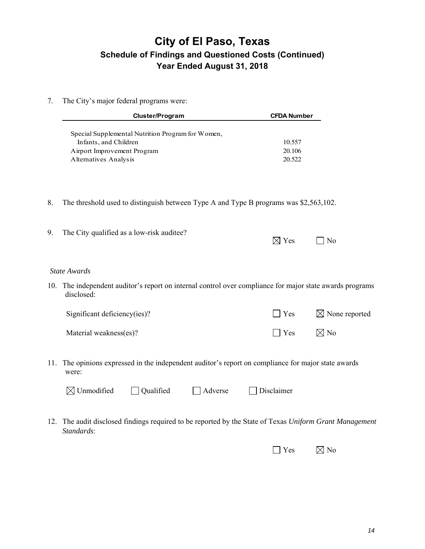# **City of El Paso, Texas Schedule of Findings and Questioned Costs (Continued) Year Ended August 31, 2018**

 $7$  The City's major federal

| $\sqrt{ }$ . | The City's major federal programs were:                                                                                            |                            |                           |  |  |
|--------------|------------------------------------------------------------------------------------------------------------------------------------|----------------------------|---------------------------|--|--|
|              | Cluster/Program                                                                                                                    | <b>CFDA Number</b>         |                           |  |  |
|              | Special Supplemental Nutrition Program for Women,<br>Infants, and Children<br>Airport Improvement Program<br>Alternatives Analysis | 10.557<br>20.106<br>20.522 |                           |  |  |
| 8.           | The threshold used to distinguish between Type A and Type B programs was \$2,563,102.                                              |                            |                           |  |  |
| 9.           | The City qualified as a low-risk auditee?                                                                                          | $\boxtimes$ Yes            | No                        |  |  |
|              | <b>State Awards</b>                                                                                                                |                            |                           |  |  |
|              | 10. The independent auditor's report on internal control over compliance for major state awards programs                           |                            |                           |  |  |
|              | Significant deficiency(ies)?                                                                                                       | Yes                        | $\boxtimes$ None reported |  |  |
|              | Material weakness(es)?                                                                                                             | Yes                        | $\boxtimes$ No            |  |  |
|              | 11. The opinions expressed in the independent auditor's report on compliance for major state awards<br>were:                       |                            |                           |  |  |
|              | $\boxtimes$ Unmodified<br>Qualified<br>Adverse                                                                                     | Disclaimer                 |                           |  |  |
|              | 12. The audit disclosed findings required to be reported by the State of Texas Uniform Grant Management<br>Standards:              |                            |                           |  |  |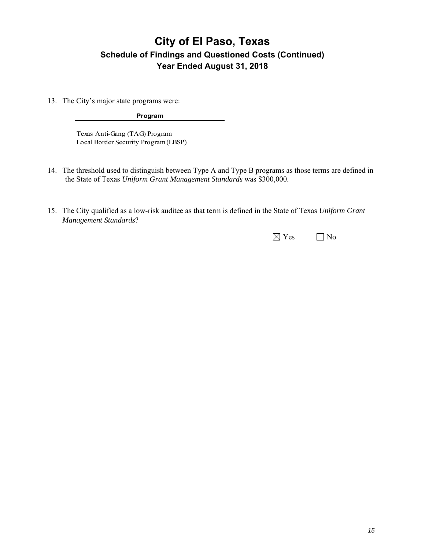# **City of El Paso, Texas Schedule of Findings and Questioned Costs (Continued) Year Ended August 31, 2018**

13. The City's major state programs were:

**Program**

Texas Anti-Gang (TAG) Program Local Border Security Program (LBSP)

- 14. The threshold used to distinguish between Type A and Type B programs as those terms are defined in the State of Texas *Uniform Grant Management Standards* was \$300,000.
- 15. The City qualified as a low-risk auditee as that term is defined in the State of Texas *Uniform Grant Management Standards*?

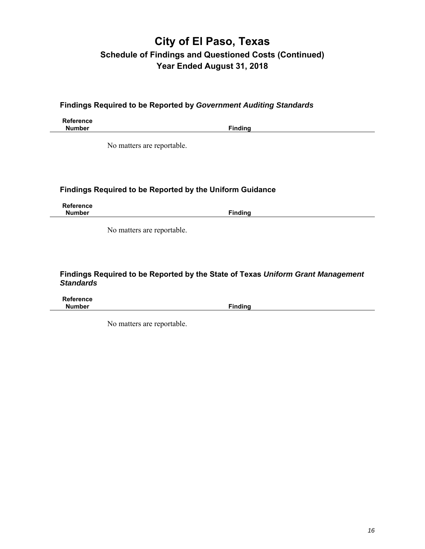# **City of El Paso, Texas Schedule of Findings and Questioned Costs (Continued) Year Ended August 31, 2018**

**Findings Required to be Reported by** *Government Auditing Standards*  **Reference Number Finding 2018**  No matters are reportable. **Findings Required to be Reported by the Uniform Guidance Reference Number Finding 2018** No matters are reportable.

### **Findings Required to be Reported by the State of Texas** *Uniform Grant Management Standards*

**Reference Finding** 

No matters are reportable.